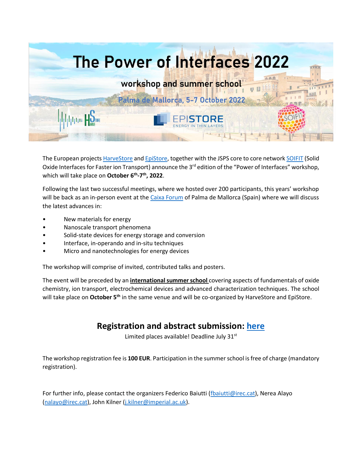

The European project[s HarveStore](https://harvestore.eu/) an[d EpiStore,](https://www.epistore.eu/)) together with the JSPS core to core networ[k SOIFIT](http://www.soifit.net/en/) (Solid Oxide Interfaces for Faster ion Transport) announce the 3<sup>rd</sup> edition of the "Power of Interfaces" workshop, which will take place on **October 6th -7 th, 2022**.

Following the last two successful meetings, where we hosted over 200 participants, this years' workshop will be back as an in-person event at th[e Caixa Forum](https://caixaforum.org/es/palma) of Palma de Mallorca (Spain) where we will discuss the latest advances in:

- New materials for energy
- Nanoscale transport phenomena
- Solid-state devices for energy storage and conversion
- Interface, in-operando and in-situ techniques
- Micro and nanotechnologies for energy devices

The workshop will comprise of invited, contributed talks and posters.

The event will be preceded by an **international summer school** covering aspects of fundamentals of oxide chemistry, ion transport, electrochemical devices and advanced characterization techniques. The school will take place on **October 5th** in the same venue and will be co-organized by HarveStore and EpiStore.

## **Registration and abstract submission: [here](https://forms.gle/okSwZ9cp9zqzZDeX6)**

Limited places available! Deadline July 31<sup>st</sup>

The workshop registration fee is **100 EUR**. Participation in the summer school is free of charge (mandatory registration).

For further info, please contact the organizers Federico Baiutti [\(fbaiutti@irec.cat\)](mailto:fbaiutti@irec.cat), Nerea Alayo [\(nalayo@irec.cat\)](mailto:nalayo@irec.cat), John Kilner [\(j.kilner@imperial.ac.uk\)](mailto:j.kilner@imperial.ac.uk).